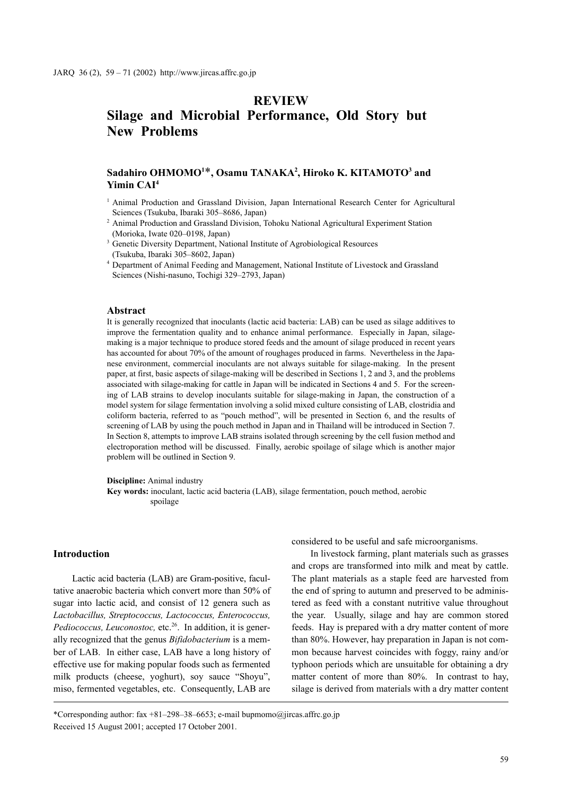# **REVIEW**

# **Silage and Microbial Performance, Old Story but New Problems**

# Sadahiro OHMOMO<sup>1\*</sup>, Osamu TANAKA<sup>2</sup>, Hiroko K. KITAMOTO<sup>3</sup> and **Yimin CAI4**

- <sup>1</sup> Animal Production and Grassland Division, Japan International Research Center for Agricultural Sciences (Tsukuba, Ibaraki 305–8686, Japan)
- <sup>2</sup> Animal Production and Grassland Division, Tohoku National Agricultural Experiment Station (Morioka, Iwate 020–0198, Japan)
- <sup>3</sup> Genetic Diversity Department, National Institute of Agrobiological Resources (Tsukuba, Ibaraki 305–8602, Japan)
- <sup>4</sup> Department of Animal Feeding and Management, National Institute of Livestock and Grassland Sciences (Nishi-nasuno, Tochigi 329–2793, Japan)

#### **Abstract**

It is generally recognized that inoculants (lactic acid bacteria: LAB) can be used as silage additives to improve the fermentation quality and to enhance animal performance. Especially in Japan, silagemaking is a major technique to produce stored feeds and the amount of silage produced in recent years has accounted for about 70% of the amount of roughages produced in farms. Nevertheless in the Japanese environment, commercial inoculants are not always suitable for silage-making. In the present paper, at first, basic aspects of silage-making will be described in Sections 1, 2 and 3, and the problems associated with silage-making for cattle in Japan will be indicated in Sections 4 and 5. For the screening of LAB strains to develop inoculants suitable for silage-making in Japan, the construction of a model system for silage fermentation involving a solid mixed culture consisting of LAB, clostridia and coliform bacteria, referred to as "pouch method", will be presented in Section 6, and the results of screening of LAB by using the pouch method in Japan and in Thailand will be introduced in Section 7. In Section 8, attempts to improve LAB strains isolated through screening by the cell fusion method and electroporation method will be discussed. Finally, aerobic spoilage of silage which is another major problem will be outlined in Section 9.

**Discipline:** Animal industry

**Key words:** inoculant, lactic acid bacteria (LAB), silage fermentation, pouch method, aerobic spoilage

#### **Introduction**

Lactic acid bacteria (LAB) are Gram-positive, facultative anaerobic bacteria which convert more than 50% of sugar into lactic acid, and consist of 12 genera such as *Lactobacillus, Streptococcus, Lactococcus, Enterococcus, Pediococcus, Leuconostoc, etc.*<sup>26</sup>. In addition, it is generally recognized that the genus *Bifidobacterium* is a member of LAB. In either case, LAB have a long history of effective use for making popular foods such as fermented milk products (cheese, yoghurt), soy sauce "Shoyu", miso, fermented vegetables, etc. Consequently, LAB are

considered to be useful and safe microorganisms.

In livestock farming, plant materials such as grasses and crops are transformed into milk and meat by cattle. The plant materials as a staple feed are harvested from the end of spring to autumn and preserved to be administered as feed with a constant nutritive value throughout the year. Usually, silage and hay are common stored feeds. Hay is prepared with a dry matter content of more than 80%. However, hay preparation in Japan is not common because harvest coincides with foggy, rainy and/or typhoon periods which are unsuitable for obtaining a dry matter content of more than 80%. In contrast to hay, silage is derived from materials with a dry matter content

\*Corresponding author: fax +81–298–38–6653; e-mail bupmomo@jircas.affrc.go.jp Received 15 August 2001; accepted 17 October 2001.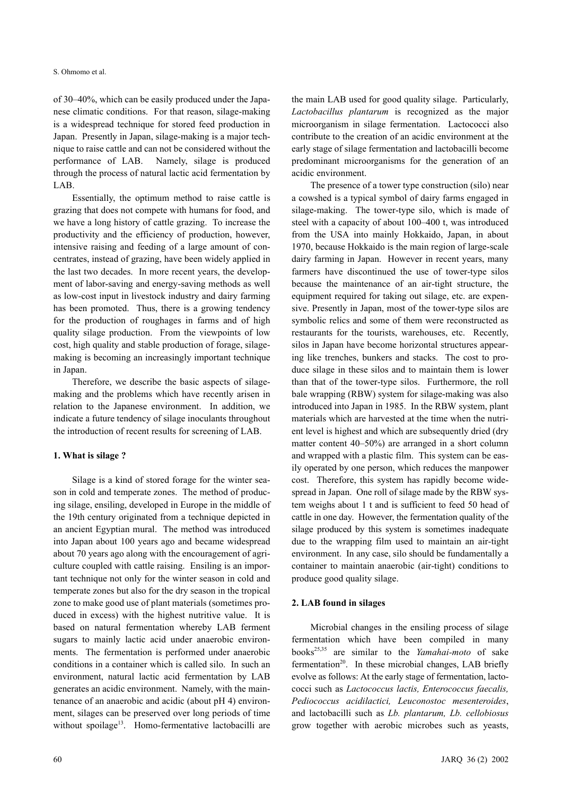of 30–40%, which can be easily produced under the Japanese climatic conditions. For that reason, silage-making is a widespread technique for stored feed production in Japan. Presently in Japan, silage-making is a major technique to raise cattle and can not be considered without the performance of LAB. Namely, silage is produced through the process of natural lactic acid fermentation by LAB.

Essentially, the optimum method to raise cattle is grazing that does not compete with humans for food, and we have a long history of cattle grazing. To increase the productivity and the efficiency of production, however, intensive raising and feeding of a large amount of concentrates, instead of grazing, have been widely applied in the last two decades. In more recent years, the development of labor-saving and energy-saving methods as well as low-cost input in livestock industry and dairy farming has been promoted. Thus, there is a growing tendency for the production of roughages in farms and of high quality silage production. From the viewpoints of low cost, high quality and stable production of forage, silagemaking is becoming an increasingly important technique in Japan.

Therefore, we describe the basic aspects of silagemaking and the problems which have recently arisen in relation to the Japanese environment. In addition, we indicate a future tendency of silage inoculants throughout the introduction of recent results for screening of LAB.

#### **1. What is silage ?**

Silage is a kind of stored forage for the winter season in cold and temperate zones. The method of producing silage, ensiling, developed in Europe in the middle of the 19th century originated from a technique depicted in an ancient Egyptian mural. The method was introduced into Japan about 100 years ago and became widespread about 70 years ago along with the encouragement of agriculture coupled with cattle raising. Ensiling is an important technique not only for the winter season in cold and temperate zones but also for the dry season in the tropical zone to make good use of plant materials (sometimes produced in excess) with the highest nutritive value. It is based on natural fermentation whereby LAB ferment sugars to mainly lactic acid under anaerobic environments. The fermentation is performed under anaerobic conditions in a container which is called silo. In such an environment, natural lactic acid fermentation by LAB generates an acidic environment. Namely, with the maintenance of an anaerobic and acidic (about pH 4) environment, silages can be preserved over long periods of time without spoilage<sup>13</sup>. Homo-fermentative lactobacilli are the main LAB used for good quality silage. Particularly, *Lactobacillus plantarum* is recognized as the major microorganism in silage fermentation. Lactococci also contribute to the creation of an acidic environment at the early stage of silage fermentation and lactobacilli become predominant microorganisms for the generation of an acidic environment.

The presence of a tower type construction (silo) near a cowshed is a typical symbol of dairy farms engaged in silage-making. The tower-type silo, which is made of steel with a capacity of about 100–400 t, was introduced from the USA into mainly Hokkaido, Japan, in about 1970, because Hokkaido is the main region of large-scale dairy farming in Japan. However in recent years, many farmers have discontinued the use of tower-type silos because the maintenance of an air-tight structure, the equipment required for taking out silage, etc. are expensive. Presently in Japan, most of the tower-type silos are symbolic relics and some of them were reconstructed as restaurants for the tourists, warehouses, etc. Recently, silos in Japan have become horizontal structures appearing like trenches, bunkers and stacks. The cost to produce silage in these silos and to maintain them is lower than that of the tower-type silos. Furthermore, the roll bale wrapping (RBW) system for silage-making was also introduced into Japan in 1985. In the RBW system, plant materials which are harvested at the time when the nutrient level is highest and which are subsequently dried (dry matter content 40–50%) are arranged in a short column and wrapped with a plastic film. This system can be easily operated by one person, which reduces the manpower cost. Therefore, this system has rapidly become widespread in Japan. One roll of silage made by the RBW system weighs about 1 t and is sufficient to feed 50 head of cattle in one day. However, the fermentation quality of the silage produced by this system is sometimes inadequate due to the wrapping film used to maintain an air-tight environment. In any case, silo should be fundamentally a container to maintain anaerobic (air-tight) conditions to produce good quality silage.

#### **2. LAB found in silages**

Microbial changes in the ensiling process of silage fermentation which have been compiled in many books25,35 are similar to the *Yamahai-moto* of sake fermentation<sup>20</sup>. In these microbial changes, LAB briefly evolve as follows: At the early stage of fermentation, lactococci such as *Lactococcus lactis, Enterococcus faecalis, Pediococcus acidilactici, Leuconostoc mesenteroides*, and lactobacilli such as *Lb. plantarum, Lb. cellobiosus* grow together with aerobic microbes such as yeasts,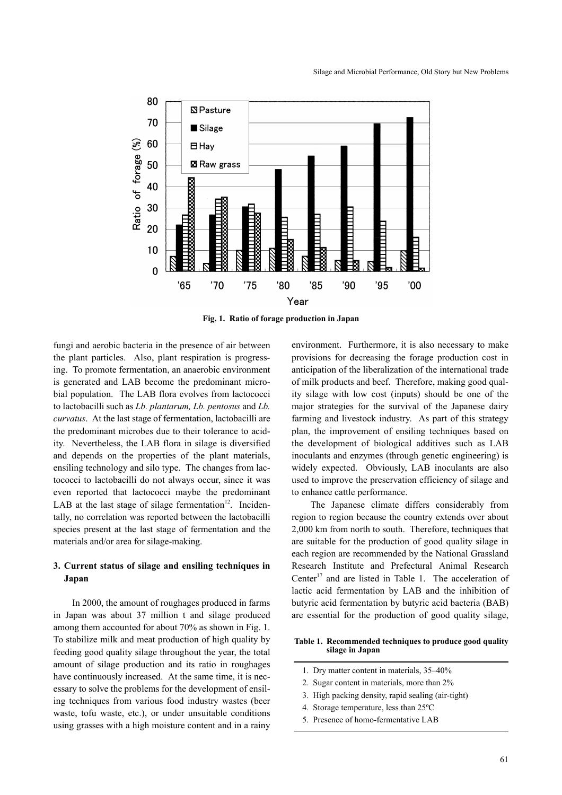

**Fig. 1. Ratio of forage production in Japan**

fungi and aerobic bacteria in the presence of air between the plant particles. Also, plant respiration is progressing. To promote fermentation, an anaerobic environment is generated and LAB become the predominant microbial population. The LAB flora evolves from lactococci to lactobacilli such as *Lb. plantarum, Lb. pentosus* and *Lb. curvatus*. At the last stage of fermentation, lactobacilli are the predominant microbes due to their tolerance to acidity. Nevertheless, the LAB flora in silage is diversified and depends on the properties of the plant materials, ensiling technology and silo type. The changes from lactococci to lactobacilli do not always occur, since it was even reported that lactococci maybe the predominant LAB at the last stage of silage fermentation<sup>12</sup>. Incidentally, no correlation was reported between the lactobacilli species present at the last stage of fermentation and the materials and/or area for silage-making.

# **3. Current status of silage and ensiling techniques in Japan**

In 2000, the amount of roughages produced in farms in Japan was about 37 million t and silage produced among them accounted for about 70% as shown in Fig. 1. To stabilize milk and meat production of high quality by feeding good quality silage throughout the year, the total amount of silage production and its ratio in roughages have continuously increased. At the same time, it is necessary to solve the problems for the development of ensiling techniques from various food industry wastes (beer waste, tofu waste, etc.), or under unsuitable conditions using grasses with a high moisture content and in a rainy environment. Furthermore, it is also necessary to make provisions for decreasing the forage production cost in anticipation of the liberalization of the international trade of milk products and beef. Therefore, making good quality silage with low cost (inputs) should be one of the major strategies for the survival of the Japanese dairy farming and livestock industry. As part of this strategy plan, the improvement of ensiling techniques based on the development of biological additives such as LAB inoculants and enzymes (through genetic engineering) is widely expected. Obviously, LAB inoculants are also used to improve the preservation efficiency of silage and to enhance cattle performance.

The Japanese climate differs considerably from region to region because the country extends over about 2,000 km from north to south. Therefore, techniques that are suitable for the production of good quality silage in each region are recommended by the National Grassland Research Institute and Prefectural Animal Research Center<sup>17</sup> and are listed in Table 1. The acceleration of lactic acid fermentation by LAB and the inhibition of butyric acid fermentation by butyric acid bacteria (BAB) are essential for the production of good quality silage,

**Table 1. Recommended techniques to produce good quality silage in Japan**

- 1. Dry matter content in materials, 35–40%
- 2. Sugar content in materials, more than 2%
- 3. High packing density, rapid sealing (air-tight)
- 4. Storage temperature, less than 25ºC
- 5. Presence of homo-fermentative LAB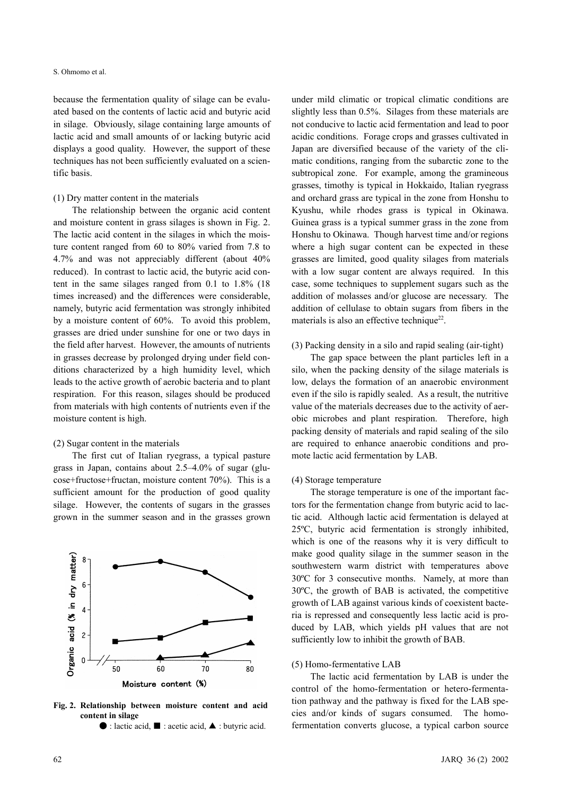because the fermentation quality of silage can be evaluated based on the contents of lactic acid and butyric acid in silage. Obviously, silage containing large amounts of lactic acid and small amounts of or lacking butyric acid displays a good quality. However, the support of these techniques has not been sufficiently evaluated on a scientific basis.

### (1) Dry matter content in the materials

The relationship between the organic acid content and moisture content in grass silages is shown in Fig. 2. The lactic acid content in the silages in which the moisture content ranged from 60 to 80% varied from 7.8 to 4.7% and was not appreciably different (about 40% reduced). In contrast to lactic acid, the butyric acid content in the same silages ranged from 0.1 to 1.8% (18 times increased) and the differences were considerable, namely, butyric acid fermentation was strongly inhibited by a moisture content of 60%. To avoid this problem, grasses are dried under sunshine for one or two days in the field after harvest. However, the amounts of nutrients in grasses decrease by prolonged drying under field conditions characterized by a high humidity level, which leads to the active growth of aerobic bacteria and to plant respiration. For this reason, silages should be produced from materials with high contents of nutrients even if the moisture content is high.

# (2) Sugar content in the materials

The first cut of Italian ryegrass, a typical pasture grass in Japan, contains about 2.5–4.0% of sugar (glucose+fructose+fructan, moisture content 70%). This is a sufficient amount for the production of good quality silage. However, the contents of sugars in the grasses grown in the summer season and in the grasses grown



**Fig. 2. Relationship between moisture content and acid content in silage**



under mild climatic or tropical climatic conditions are slightly less than 0.5%. Silages from these materials are not conducive to lactic acid fermentation and lead to poor acidic conditions. Forage crops and grasses cultivated in Japan are diversified because of the variety of the climatic conditions, ranging from the subarctic zone to the subtropical zone. For example, among the gramineous grasses, timothy is typical in Hokkaido, Italian ryegrass and orchard grass are typical in the zone from Honshu to Kyushu, while rhodes grass is typical in Okinawa. Guinea grass is a typical summer grass in the zone from Honshu to Okinawa. Though harvest time and/or regions where a high sugar content can be expected in these grasses are limited, good quality silages from materials with a low sugar content are always required. In this case, some techniques to supplement sugars such as the addition of molasses and/or glucose are necessary. The addition of cellulase to obtain sugars from fibers in the materials is also an effective technique<sup>22</sup>.

#### (3) Packing density in a silo and rapid sealing (air-tight)

The gap space between the plant particles left in a silo, when the packing density of the silage materials is low, delays the formation of an anaerobic environment even if the silo is rapidly sealed. As a result, the nutritive value of the materials decreases due to the activity of aerobic microbes and plant respiration. Therefore, high packing density of materials and rapid sealing of the silo are required to enhance anaerobic conditions and promote lactic acid fermentation by LAB.

#### (4) Storage temperature

The storage temperature is one of the important factors for the fermentation change from butyric acid to lactic acid. Although lactic acid fermentation is delayed at 25ºC, butyric acid fermentation is strongly inhibited, which is one of the reasons why it is very difficult to make good quality silage in the summer season in the southwestern warm district with temperatures above 30ºC for 3 consecutive months. Namely, at more than 30ºC, the growth of BAB is activated, the competitive growth of LAB against various kinds of coexistent bacteria is repressed and consequently less lactic acid is produced by LAB, which yields pH values that are not sufficiently low to inhibit the growth of BAB.

#### (5) Homo-fermentative LAB

The lactic acid fermentation by LAB is under the control of the homo-fermentation or hetero-fermentation pathway and the pathway is fixed for the LAB species and/or kinds of sugars consumed. The homofermentation converts glucose, a typical carbon source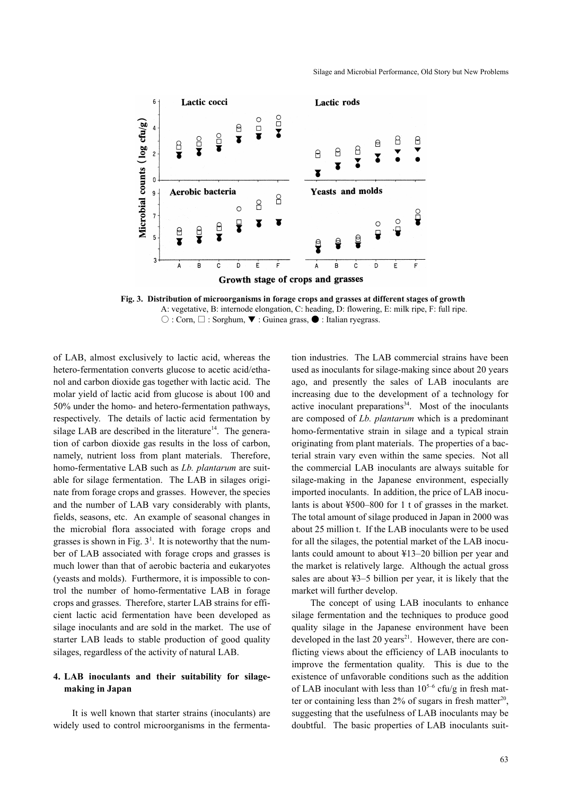

**Fig. 3. Distribution of microorganisms in forage crops and grasses at different stages of growth** A: vegetative, B: internode elongation, C: heading, D: flowering, E: milk ripe, F: full ripe. ○ : Corn, □ : Sorghum, ▼ : Guinea grass, ● : Italian ryegrass.

of LAB, almost exclusively to lactic acid, whereas the hetero-fermentation converts glucose to acetic acid/ethanol and carbon dioxide gas together with lactic acid. The molar yield of lactic acid from glucose is about 100 and 50% under the homo- and hetero-fermentation pathways, respectively. The details of lactic acid fermentation by silage LAB are described in the literature<sup>14</sup>. The generation of carbon dioxide gas results in the loss of carbon, namely, nutrient loss from plant materials. Therefore, homo-fermentative LAB such as *Lb. plantarum* are suitable for silage fermentation. The LAB in silages originate from forage crops and grasses. However, the species and the number of LAB vary considerably with plants, fields, seasons, etc. An example of seasonal changes in the microbial flora associated with forage crops and grasses is shown in Fig.  $3<sup>1</sup>$ . It is noteworthy that the number of LAB associated with forage crops and grasses is much lower than that of aerobic bacteria and eukaryotes (yeasts and molds). Furthermore, it is impossible to control the number of homo-fermentative LAB in forage crops and grasses. Therefore, starter LAB strains for efficient lactic acid fermentation have been developed as silage inoculants and are sold in the market. The use of starter LAB leads to stable production of good quality silages, regardless of the activity of natural LAB.

# **4. LAB inoculants and their suitability for silagemaking in Japan**

It is well known that starter strains (inoculants) are widely used to control microorganisms in the fermentation industries. The LAB commercial strains have been used as inoculants for silage-making since about 20 years ago, and presently the sales of LAB inoculants are increasing due to the development of a technology for active inoculant preparations $34$ . Most of the inoculants are composed of *Lb. plantarum* which is a predominant homo-fermentative strain in silage and a typical strain originating from plant materials. The properties of a bacterial strain vary even within the same species. Not all the commercial LAB inoculants are always suitable for silage-making in the Japanese environment, especially imported inoculants. In addition, the price of LAB inoculants is about ¥500–800 for 1 t of grasses in the market. The total amount of silage produced in Japan in 2000 was about 25 million t. If the LAB inoculants were to be used for all the silages, the potential market of the LAB inoculants could amount to about ¥13–20 billion per year and the market is relatively large. Although the actual gross sales are about ¥3–5 billion per year, it is likely that the market will further develop.

The concept of using LAB inoculants to enhance silage fermentation and the techniques to produce good quality silage in the Japanese environment have been developed in the last  $20$  years<sup>21</sup>. However, there are conflicting views about the efficiency of LAB inoculants to improve the fermentation quality. This is due to the existence of unfavorable conditions such as the addition of LAB inoculant with less than  $10^{5-6}$  cfu/g in fresh matter or containing less than  $2\%$  of sugars in fresh matter<sup>20</sup>, suggesting that the usefulness of LAB inoculants may be doubtful. The basic properties of LAB inoculants suit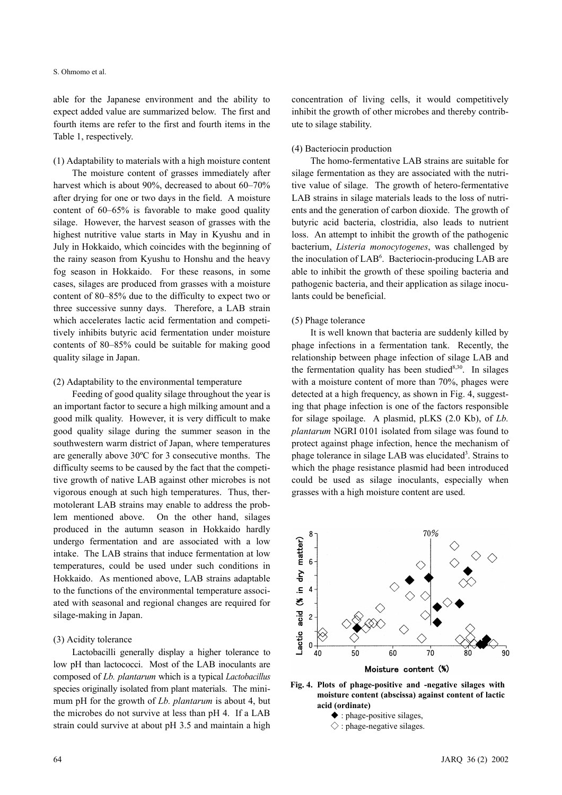able for the Japanese environment and the ability to expect added value are summarized below. The first and fourth items are refer to the first and fourth items in the Table 1, respectively.

#### (1) Adaptability to materials with a high moisture content

The moisture content of grasses immediately after harvest which is about 90%, decreased to about 60–70% after drying for one or two days in the field. A moisture content of 60–65% is favorable to make good quality silage. However, the harvest season of grasses with the highest nutritive value starts in May in Kyushu and in July in Hokkaido, which coincides with the beginning of the rainy season from Kyushu to Honshu and the heavy fog season in Hokkaido. For these reasons, in some cases, silages are produced from grasses with a moisture content of 80–85% due to the difficulty to expect two or three successive sunny days. Therefore, a LAB strain which accelerates lactic acid fermentation and competitively inhibits butyric acid fermentation under moisture contents of 80–85% could be suitable for making good quality silage in Japan.

### (2) Adaptability to the environmental temperature

Feeding of good quality silage throughout the year is an important factor to secure a high milking amount and a good milk quality. However, it is very difficult to make good quality silage during the summer season in the southwestern warm district of Japan, where temperatures are generally above 30ºC for 3 consecutive months. The difficulty seems to be caused by the fact that the competitive growth of native LAB against other microbes is not vigorous enough at such high temperatures. Thus, thermotolerant LAB strains may enable to address the problem mentioned above. On the other hand, silages produced in the autumn season in Hokkaido hardly undergo fermentation and are associated with a low intake. The LAB strains that induce fermentation at low temperatures, could be used under such conditions in Hokkaido. As mentioned above, LAB strains adaptable to the functions of the environmental temperature associated with seasonal and regional changes are required for silage-making in Japan.

#### (3) Acidity tolerance

Lactobacilli generally display a higher tolerance to low pH than lactococci. Most of the LAB inoculants are composed of *Lb. plantarum* which is a typical *Lactobacillus* species originally isolated from plant materials. The minimum pH for the growth of *Lb. plantarum* is about 4, but the microbes do not survive at less than pH 4. If a LAB strain could survive at about pH 3.5 and maintain a high

#### (4) Bacteriocin production

The homo-fermentative LAB strains are suitable for silage fermentation as they are associated with the nutritive value of silage. The growth of hetero-fermentative LAB strains in silage materials leads to the loss of nutrients and the generation of carbon dioxide. The growth of butyric acid bacteria, clostridia, also leads to nutrient loss. An attempt to inhibit the growth of the pathogenic bacterium, *Listeria monocytogenes*, was challenged by the inoculation of LAB<sup>6</sup>. Bacteriocin-producing LAB are able to inhibit the growth of these spoiling bacteria and pathogenic bacteria, and their application as silage inoculants could be beneficial.

#### (5) Phage tolerance

It is well known that bacteria are suddenly killed by phage infections in a fermentation tank. Recently, the relationship between phage infection of silage LAB and the fermentation quality has been studied $8,30$ . In silages with a moisture content of more than 70%, phages were detected at a high frequency, as shown in Fig. 4, suggesting that phage infection is one of the factors responsible for silage spoilage. A plasmid, pLKS (2.0 Kb), of *Lb. plantarum* NGRI 0101 isolated from silage was found to protect against phage infection, hence the mechanism of phage tolerance in silage LAB was elucidated<sup>3</sup>. Strains to which the phage resistance plasmid had been introduced could be used as silage inoculants, especially when grasses with a high moisture content are used.





 $\blacklozenge$ : phage-positive silages,  $\diamondsuit$ : phage-negative silages.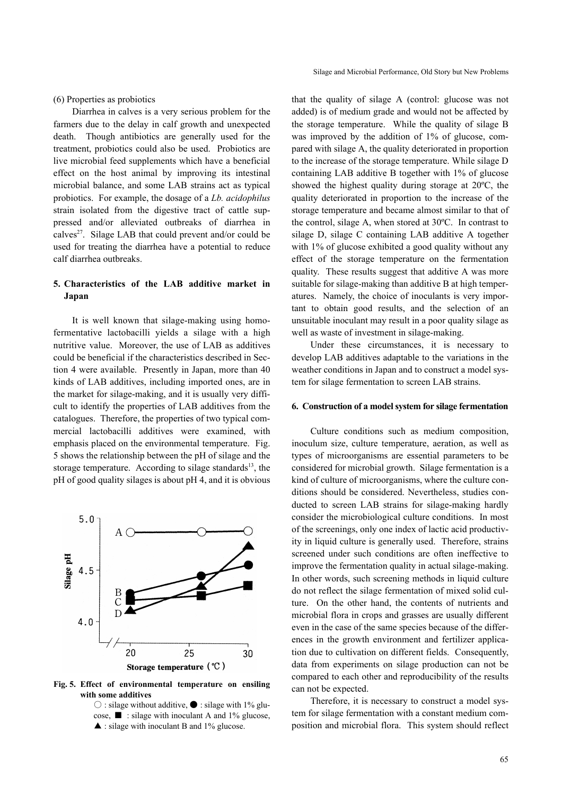(6) Properties as probiotics

Diarrhea in calves is a very serious problem for the farmers due to the delay in calf growth and unexpected death. Though antibiotics are generally used for the treatment, probiotics could also be used. Probiotics are live microbial feed supplements which have a beneficial effect on the host animal by improving its intestinal microbial balance, and some LAB strains act as typical probiotics. For example, the dosage of a *Lb. acidophilus* strain isolated from the digestive tract of cattle suppressed and/or alleviated outbreaks of diarrhea in calves<sup>27</sup>. Silage LAB that could prevent and/or could be used for treating the diarrhea have a potential to reduce calf diarrhea outbreaks.

# **5. Characteristics of the LAB additive market in Japan**

It is well known that silage-making using homofermentative lactobacilli yields a silage with a high nutritive value. Moreover, the use of LAB as additives could be beneficial if the characteristics described in Section 4 were available. Presently in Japan, more than 40 kinds of LAB additives, including imported ones, are in the market for silage-making, and it is usually very difficult to identify the properties of LAB additives from the catalogues. Therefore, the properties of two typical commercial lactobacilli additives were examined, with emphasis placed on the environmental temperature. Fig. 5 shows the relationship between the pH of silage and the storage temperature. According to silage standards<sup>13</sup>, the pH of good quality silages is about pH 4, and it is obvious



**Fig. 5. Effect of environmental temperature on ensiling with some additives**

 $\bigcirc$  : silage without additive,  $\bigcirc$  : silage with 1% glucose,  $\blacksquare$  : silage with inoculant A and 1% glucose,  $\triangle$  : silage with inoculant B and 1% glucose.

that the quality of silage A (control: glucose was not added) is of medium grade and would not be affected by the storage temperature. While the quality of silage B was improved by the addition of 1% of glucose, compared with silage A, the quality deteriorated in proportion to the increase of the storage temperature. While silage D containing LAB additive B together with 1% of glucose showed the highest quality during storage at 20ºC, the quality deteriorated in proportion to the increase of the storage temperature and became almost similar to that of the control, silage A, when stored at 30ºC. In contrast to silage D, silage C containing LAB additive A together with 1% of glucose exhibited a good quality without any effect of the storage temperature on the fermentation quality. These results suggest that additive A was more suitable for silage-making than additive B at high temperatures. Namely, the choice of inoculants is very important to obtain good results, and the selection of an unsuitable inoculant may result in a poor quality silage as well as waste of investment in silage-making.

Under these circumstances, it is necessary to develop LAB additives adaptable to the variations in the weather conditions in Japan and to construct a model system for silage fermentation to screen LAB strains.

#### **6. Construction of a model system for silage fermentation**

Culture conditions such as medium composition, inoculum size, culture temperature, aeration, as well as types of microorganisms are essential parameters to be considered for microbial growth. Silage fermentation is a kind of culture of microorganisms, where the culture conditions should be considered. Nevertheless, studies conducted to screen LAB strains for silage-making hardly consider the microbiological culture conditions. In most of the screenings, only one index of lactic acid productivity in liquid culture is generally used. Therefore, strains screened under such conditions are often ineffective to improve the fermentation quality in actual silage-making. In other words, such screening methods in liquid culture do not reflect the silage fermentation of mixed solid culture. On the other hand, the contents of nutrients and microbial flora in crops and grasses are usually different even in the case of the same species because of the differences in the growth environment and fertilizer application due to cultivation on different fields. Consequently, data from experiments on silage production can not be compared to each other and reproducibility of the results can not be expected.

Therefore, it is necessary to construct a model system for silage fermentation with a constant medium composition and microbial flora. This system should reflect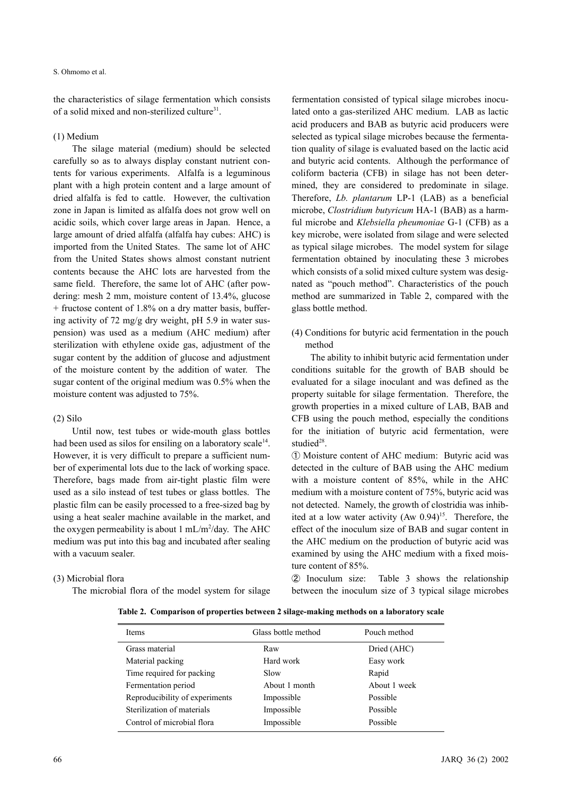the characteristics of silage fermentation which consists of a solid mixed and non-sterilized culture<sup>31</sup>.

#### (1) Medium

The silage material (medium) should be selected carefully so as to always display constant nutrient contents for various experiments. Alfalfa is a leguminous plant with a high protein content and a large amount of dried alfalfa is fed to cattle. However, the cultivation zone in Japan is limited as alfalfa does not grow well on acidic soils, which cover large areas in Japan. Hence, a large amount of dried alfalfa (alfalfa hay cubes: AHC) is imported from the United States. The same lot of AHC from the United States shows almost constant nutrient contents because the AHC lots are harvested from the same field. Therefore, the same lot of AHC (after powdering: mesh 2 mm, moisture content of 13.4%, glucose + fructose content of 1.8% on a dry matter basis, buffering activity of 72 mg/g dry weight, pH 5.9 in water suspension) was used as a medium (AHC medium) after sterilization with ethylene oxide gas, adjustment of the sugar content by the addition of glucose and adjustment of the moisture content by the addition of water. The sugar content of the original medium was 0.5% when the moisture content was adjusted to 75%.

#### (2) Silo

Until now, test tubes or wide-mouth glass bottles had been used as silos for ensiling on a laboratory scale<sup>14</sup>. However, it is very difficult to prepare a sufficient number of experimental lots due to the lack of working space. Therefore, bags made from air-tight plastic film were used as a silo instead of test tubes or glass bottles. The plastic film can be easily processed to a free-sized bag by using a heat sealer machine available in the market, and the oxygen permeability is about  $1 \text{ mL/m}^2$ /day. The AHC medium was put into this bag and incubated after sealing with a vacuum sealer.

#### (3) Microbial flora

The microbial flora of the model system for silage

fermentation consisted of typical silage microbes inoculated onto a gas-sterilized AHC medium. LAB as lactic acid producers and BAB as butyric acid producers were selected as typical silage microbes because the fermentation quality of silage is evaluated based on the lactic acid and butyric acid contents. Although the performance of coliform bacteria (CFB) in silage has not been determined, they are considered to predominate in silage. Therefore, *Lb. plantarum* LP-1 (LAB) as a beneficial microbe, *Clostridium butyricum* HA-1 (BAB) as a harmful microbe and *Klebsiella pheumoniae* G-1 (CFB) as a key microbe, were isolated from silage and were selected as typical silage microbes. The model system for silage fermentation obtained by inoculating these 3 microbes which consists of a solid mixed culture system was designated as "pouch method". Characteristics of the pouch method are summarized in Table 2, compared with the glass bottle method.

(4) Conditions for butyric acid fermentation in the pouch method

The ability to inhibit butyric acid fermentation under conditions suitable for the growth of BAB should be evaluated for a silage inoculant and was defined as the property suitable for silage fermentation. Therefore, the growth properties in a mixed culture of LAB, BAB and CFB using the pouch method, especially the conditions for the initiation of butyric acid fermentation, were studied<sup>28</sup>.

① Moisture content of AHC medium: Butyric acid was detected in the culture of BAB using the AHC medium with a moisture content of 85%, while in the AHC medium with a moisture content of 75%, butyric acid was not detected. Namely, the growth of clostridia was inhibited at a low water activity  $(Aw\ 0.94)^{15}$ . Therefore, the effect of the inoculum size of BAB and sugar content in the AHC medium on the production of butyric acid was examined by using the AHC medium with a fixed moisture content of 85%.

② Inoculum size: Table 3 shows the relationship between the inoculum size of 3 typical silage microbes

|  |  |  |  |  |  | Table 2. Comparison of properties between 2 silage-making methods on a laboratory scale |  |
|--|--|--|--|--|--|-----------------------------------------------------------------------------------------|--|
|--|--|--|--|--|--|-----------------------------------------------------------------------------------------|--|

| <b>Items</b>                   | Glass bottle method | Pouch method |
|--------------------------------|---------------------|--------------|
| Grass material                 | Raw                 | Dried (AHC)  |
| Material packing               | Hard work           | Easy work    |
| Time required for packing      | Slow                | Rapid        |
| Fermentation period            | About 1 month       | About 1 week |
| Reproducibility of experiments | Impossible          | Possible     |
| Sterilization of materials     | Impossible          | Possible     |
| Control of microbial flora     | Impossible          | Possible     |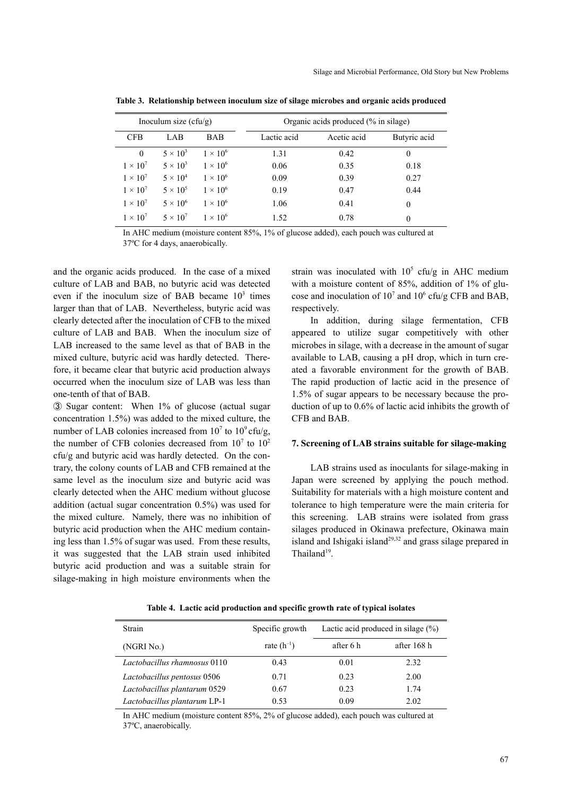| Inoculum size $(cfu/g)$ |                 | Organic acids produced (% in silage) |             |             |                |  |
|-------------------------|-----------------|--------------------------------------|-------------|-------------|----------------|--|
| <b>CFB</b>              | LAB.            | <b>BAB</b>                           | Lactic acid | Acetic acid | Butyric acid   |  |
| $\theta$                | $5 \times 10^3$ | $1 \times 10^6$                      | 1.31        | 0.42        | $\theta$       |  |
| $1 \times 10^7$         | $5 \times 10^3$ | $1 \times 10^6$                      | 0.06        | 0.35        | 0.18           |  |
| $1 \times 10^7$         | $5 \times 10^4$ | $1 \times 10^6$                      | 0.09        | 0.39        | 0.27           |  |
| $1 \times 10^7$         | $5 \times 10^5$ | $1 \times 10^6$                      | 0.19        | 0.47        | 0.44           |  |
| $1 \times 10^7$         | $5 \times 10^6$ | $1 \times 10^6$                      | 1.06        | 0.41        | $\overline{0}$ |  |
| $1 \times 10^7$         | $5 \times 10^7$ | $1 \times 10^6$                      | 1.52        | 0.78        | $\Omega$       |  |

**Table 3. Relationship between inoculum size of silage microbes and organic acids produced**

In AHC medium (moisture content 85%, 1% of glucose added), each pouch was cultured at 37ºC for 4 days, anaerobically.

and the organic acids produced. In the case of a mixed culture of LAB and BAB, no butyric acid was detected even if the inoculum size of BAB became  $10<sup>3</sup>$  times larger than that of LAB. Nevertheless, butyric acid was clearly detected after the inoculation of CFB to the mixed culture of LAB and BAB. When the inoculum size of LAB increased to the same level as that of BAB in the mixed culture, butyric acid was hardly detected. Therefore, it became clear that butyric acid production always occurred when the inoculum size of LAB was less than one-tenth of that of BAB.

③ Sugar content: When 1% of glucose (actual sugar concentration 1.5%) was added to the mixed culture, the number of LAB colonies increased from  $10^7$  to  $10^9$  cfu/g, the number of CFB colonies decreased from  $10<sup>7</sup>$  to  $10<sup>2</sup>$ cfu/g and butyric acid was hardly detected. On the contrary, the colony counts of LAB and CFB remained at the same level as the inoculum size and butyric acid was clearly detected when the AHC medium without glucose addition (actual sugar concentration 0.5%) was used for the mixed culture. Namely, there was no inhibition of butyric acid production when the AHC medium containing less than 1.5% of sugar was used. From these results, it was suggested that the LAB strain used inhibited butyric acid production and was a suitable strain for silage-making in high moisture environments when the

strain was inoculated with  $10^5$  cfu/g in AHC medium with a moisture content of 85%, addition of 1% of glucose and inoculation of  $10^7$  and  $10^6$  cfu/g CFB and BAB, respectively.

In addition, during silage fermentation, CFB appeared to utilize sugar competitively with other microbes in silage, with a decrease in the amount of sugar available to LAB, causing a pH drop, which in turn created a favorable environment for the growth of BAB. The rapid production of lactic acid in the presence of 1.5% of sugar appears to be necessary because the production of up to 0.6% of lactic acid inhibits the growth of CFB and BAB.

# **7. Screening of LAB strains suitable for silage-making**

LAB strains used as inoculants for silage-making in Japan were screened by applying the pouch method. Suitability for materials with a high moisture content and tolerance to high temperature were the main criteria for this screening. LAB strains were isolated from grass silages produced in Okinawa prefecture, Okinawa main island and Ishigaki island $2^{9,32}$  and grass silage prepared in Thailand<sup>19</sup>.

**Table 4. Lactic acid production and specific growth rate of typical isolates**

| Strain                       | Specific growth | Lactic acid produced in silage $(\%)$ |             |
|------------------------------|-----------------|---------------------------------------|-------------|
| (NGRI No.)                   | rate $(h^{-1})$ | after 6 h                             | after 168 h |
| Lactobacillus rhamnosus 0110 | 0.43            | 0.01                                  | 2.32        |
| Lactobacillus pentosus 0506  | 0.71            | 0.23                                  | 2.00        |
| Lactobacillus plantarum 0529 | 0.67            | 0.23                                  | 1.74        |
| Lactobacillus plantarum LP-1 | 0.53            | 0.09                                  | 2.02        |

In AHC medium (moisture content 85%, 2% of glucose added), each pouch was cultured at 37ºC, anaerobically.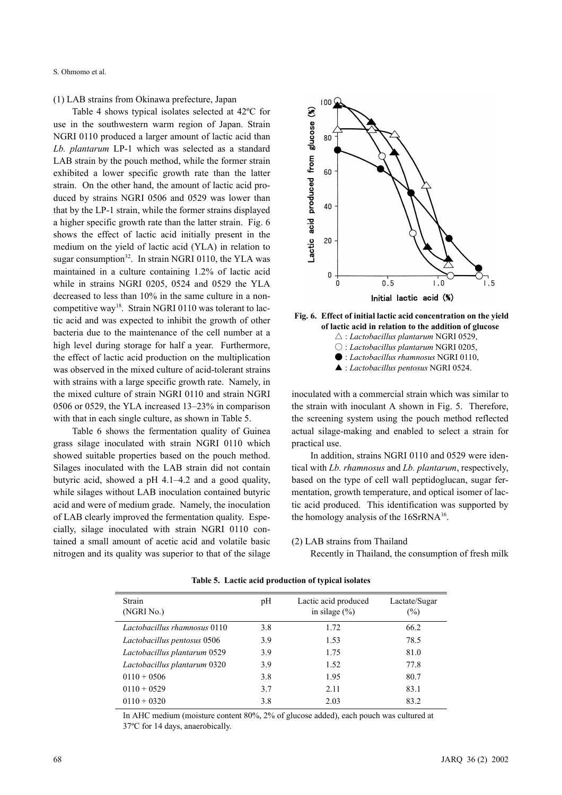S. Ohmomo et al.

(1) LAB strains from Okinawa prefecture, Japan

Table 4 shows typical isolates selected at 42ºC for use in the southwestern warm region of Japan. Strain NGRI 0110 produced a larger amount of lactic acid than *Lb. plantarum* LP-1 which was selected as a standard LAB strain by the pouch method, while the former strain exhibited a lower specific growth rate than the latter strain. On the other hand, the amount of lactic acid produced by strains NGRI 0506 and 0529 was lower than that by the LP-1 strain, while the former strains displayed a higher specific growth rate than the latter strain. Fig. 6 shows the effect of lactic acid initially present in the medium on the yield of lactic acid (YLA) in relation to sugar consumption $32$ . In strain NGRI 0110, the YLA was maintained in a culture containing 1.2% of lactic acid while in strains NGRI 0205, 0524 and 0529 the YLA decreased to less than 10% in the same culture in a noncompetitive way<sup>18</sup>. Strain NGRI 0110 was tolerant to lactic acid and was expected to inhibit the growth of other bacteria due to the maintenance of the cell number at a high level during storage for half a year. Furthermore, the effect of lactic acid production on the multiplication was observed in the mixed culture of acid-tolerant strains with strains with a large specific growth rate. Namely, in the mixed culture of strain NGRI 0110 and strain NGRI 0506 or 0529, the YLA increased 13–23% in comparison with that in each single culture, as shown in Table 5.

Table 6 shows the fermentation quality of Guinea grass silage inoculated with strain NGRI 0110 which showed suitable properties based on the pouch method. Silages inoculated with the LAB strain did not contain butyric acid, showed a pH 4.1–4.2 and a good quality, while silages without LAB inoculation contained butyric acid and were of medium grade. Namely, the inoculation of LAB clearly improved the fermentation quality. Especially, silage inoculated with strain NGRI 0110 contained a small amount of acetic acid and volatile basic nitrogen and its quality was superior to that of the silage





inoculated with a commercial strain which was similar to the strain with inoculant A shown in Fig. 5. Therefore, the screening system using the pouch method reflected actual silage-making and enabled to select a strain for practical use.

In addition, strains NGRI 0110 and 0529 were identical with *Lb. rhamnosus* and *Lb. plantarum*, respectively, based on the type of cell wall peptidoglucan, sugar fermentation, growth temperature, and optical isomer of lactic acid produced. This identification was supported by the homology analysis of the 16SrRNA16.

#### (2) LAB strains from Thailand

Recently in Thailand, the consumption of fresh milk

| Strain<br>(NGRI No.)         | pH  | Lactic acid produced<br>in silage $(\% )$ | Lactate/Sugar<br>$(\%)$ |
|------------------------------|-----|-------------------------------------------|-------------------------|
| Lactobacillus rhamnosus 0110 | 3.8 | 1.72                                      | 66.2                    |
| Lactobacillus pentosus 0506  | 3.9 | 1.53                                      | 78.5                    |
| Lactobacillus plantarum 0529 | 3.9 | 1.75                                      | 81.0                    |
| Lactobacillus plantarum 0320 | 3.9 | 1.52                                      | 77.8                    |
| $0110 + 0506$                | 3.8 | 1.95                                      | 80.7                    |
| $0110 + 0529$                | 3.7 | 2.11                                      | 83.1                    |
| $0110 + 0320$                | 3.8 | 2.03                                      | 83.2                    |

**Table 5. Lactic acid production of typical isolates**

In AHC medium (moisture content 80%, 2% of glucose added), each pouch was cultured at 37ºC for 14 days, anaerobically.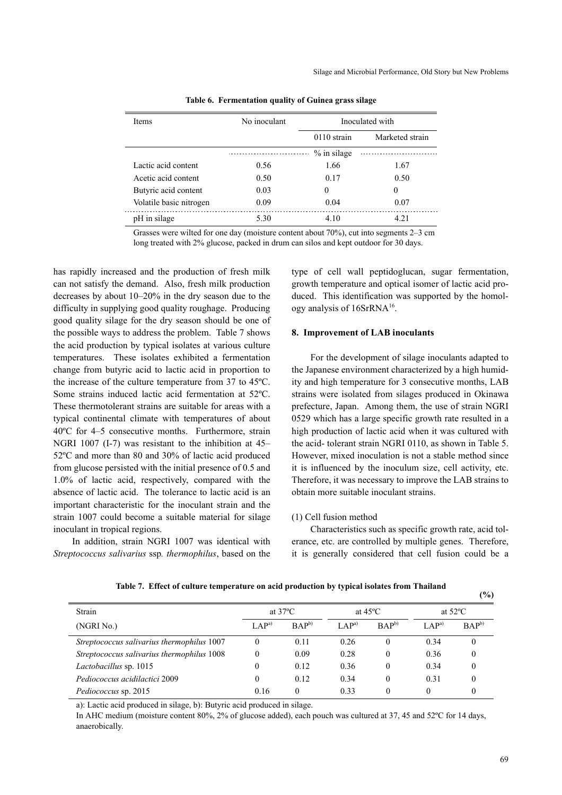| <b>Items</b>            | No inoculant |               | Inoculated with |  |
|-------------------------|--------------|---------------|-----------------|--|
|                         |              | $0110$ strain | Marketed strain |  |
|                         |              | $%$ in silage |                 |  |
| Lactic acid content     | 0.56         | 1.66          | 1.67            |  |
| Acetic acid content     | 0.50         | 0.17          | 0.50            |  |
| Butyric acid content    | 0.03         | 0             | $\theta$        |  |
| Volatile basic nitrogen | 0.09         | 0.04          | 0.07            |  |
| pH in silage            | 5.30         | 4.10          | 4.21            |  |

**Table 6. Fermentation quality of Guinea grass silage**

Grasses were wilted for one day (moisture content about 70%), cut into segments 2–3 cm long treated with 2% glucose, packed in drum can silos and kept outdoor for 30 days.

has rapidly increased and the production of fresh milk can not satisfy the demand. Also, fresh milk production decreases by about 10–20% in the dry season due to the difficulty in supplying good quality roughage. Producing good quality silage for the dry season should be one of the possible ways to address the problem. Table 7 shows the acid production by typical isolates at various culture temperatures. These isolates exhibited a fermentation change from butyric acid to lactic acid in proportion to the increase of the culture temperature from 37 to 45ºC. Some strains induced lactic acid fermentation at 52ºC. These thermotolerant strains are suitable for areas with a typical continental climate with temperatures of about 40ºC for 4–5 consecutive months. Furthermore, strain NGRI 1007 (I-7) was resistant to the inhibition at 45– 52ºC and more than 80 and 30% of lactic acid produced from glucose persisted with the initial presence of 0.5 and 1.0% of lactic acid, respectively, compared with the absence of lactic acid. The tolerance to lactic acid is an important characteristic for the inoculant strain and the strain 1007 could become a suitable material for silage inoculant in tropical regions.

In addition, strain NGRI 1007 was identical with *Streptococcus salivarius* ssp*. thermophilus*, based on the type of cell wall peptidoglucan, sugar fermentation, growth temperature and optical isomer of lactic acid produced. This identification was supported by the homology analysis of  $16SrRNA^{16}$ .

#### **8. Improvement of LAB inoculants**

For the development of silage inoculants adapted to the Japanese environment characterized by a high humidity and high temperature for 3 consecutive months, LAB strains were isolated from silages produced in Okinawa prefecture, Japan. Among them, the use of strain NGRI 0529 which has a large specific growth rate resulted in a high production of lactic acid when it was cultured with the acid- tolerant strain NGRI 0110, as shown in Table 5. However, mixed inoculation is not a stable method since it is influenced by the inoculum size, cell activity, etc. Therefore, it was necessary to improve the LAB strains to obtain more suitable inoculant strains.

#### (1) Cell fusion method

Characteristics such as specific growth rate, acid tolerance, etc. are controlled by multiple genes. Therefore, it is generally considered that cell fusion could be a

|                                            |                   |           |                        |                  |                   | $\cdots$         |
|--------------------------------------------|-------------------|-----------|------------------------|------------------|-------------------|------------------|
| Strain                                     | at $37^{\circ}$ C |           | at $45^{\circ}$ C      |                  | at $52^{\circ}$ C |                  |
| (NGRI No.)                                 | LAP <sup>a</sup>  | $BAP^{b}$ | $L$ A $\mathbf{P}^{a}$ | BAP <sub>b</sub> | LAP <sup>a</sup>  | BAP <sub>b</sub> |
| Streptococcus salivarius thermophilus 1007 |                   | 0.11      | 0.26                   | 0                | 0.34              |                  |
| Streptococcus salivarius thermophilus 1008 | 0                 | 0.09      | 0.28                   | 0                | 0.36              | $\theta$         |
| Lactobacillus sp. 1015                     |                   | 0.12      | 0.36                   | 0                | 0.34              |                  |
| Pediococcus acidilactici 2009              |                   | 0.12      | 0.34                   | 0                | 0.31              |                  |
| Pediococcus sp. 2015                       | 0.16              | $\theta$  | 0.33                   | 0                |                   |                  |

**Table 7. Effect of culture temperature on acid production by typical isolates from Thailand**

a): Lactic acid produced in silage, b): Butyric acid produced in silage.

In AHC medium (moisture content 80%, 2% of glucose added), each pouch was cultured at 37, 45 and 52ºC for 14 days, anaerobically.

**(%)**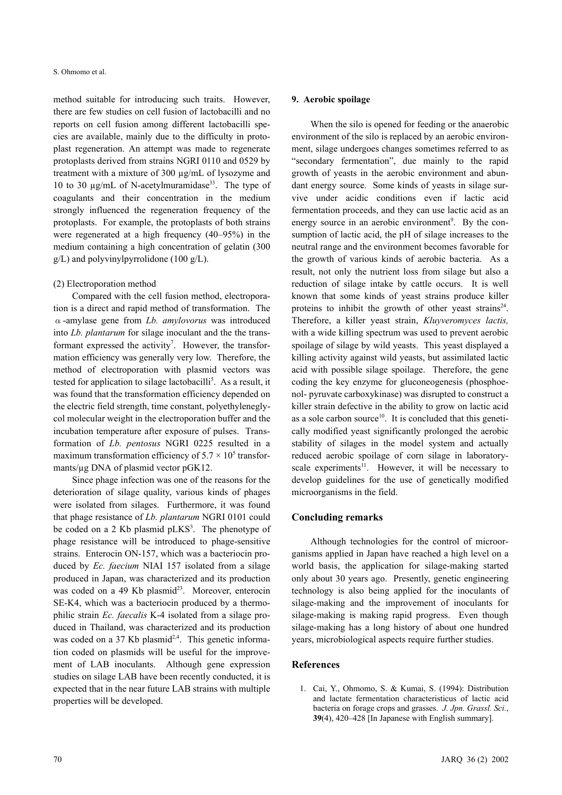method suitable for introducing such traits. However, there are few studies on cell fusion of lactobacilli and no reports on cell fusion among different lactobacilli species are available, mainly due to the difficulty in protoplast regeneration. An attempt was made to regenerate protoplasts derived from strains NGRI 0110 and 0529 by treatment with a mixture of 300 µg/mL of lysozyme and 10 to 30  $\mu$ g/mL of N-acetylmuramidase<sup>33</sup>. The type of coagulants and their concentration in the medium strongly influenced the regeneration frequency of the protoplasts. For example, the protoplasts of both strains were regenerated at a high frequency (40–95%) in the medium containing a high concentration of gelatin (300  $g/L$ ) and polyvinylpyrrolidone (100  $g/L$ ).

# (2) Electroporation method

Compared with the cell fusion method, electroporation is a direct and rapid method of transformation. The α-amylase gene from *Lb. amylovorus* was introduced into *Lb. plantarum* for silage inoculant and the the transformant expressed the activity<sup>7</sup>. However, the transformation efficiency was generally very low. Therefore, the method of electroporation with plasmid vectors was tested for application to silage lactobacilli<sup>5</sup>. As a result, it was found that the transformation efficiency depended on the electric field strength, time constant, polyethyleneglycol molecular weight in the electroporation buffer and the incubation temperature after exposure of pulses. Transformation of *Lb. pentosus* NGRI 0225 resulted in a maximum transformation efficiency of  $5.7 \times 10^5$  transformants/µg DNA of plasmid vector pGK12.

Since phage infection was one of the reasons for the deterioration of silage quality, various kinds of phages were isolated from silages. Furthermore, it was found that phage resistance of *Lb. plantarum* NGRI 0101 could be coded on a 2 Kb plasmid  $pLKS<sup>3</sup>$ . The phenotype of phage resistance will be introduced to phage-sensitive strains. Enterocin ON-157, which was a bacteriocin produced by *Ec. faecium* NIAI 157 isolated from a silage produced in Japan, was characterized and its production was coded on a 49 Kb plasmid<sup>23</sup>. Moreover, enterocin SE-K4, which was a bacteriocin produced by a thermophilic strain *Ec. faecalis* K-4 isolated from a silage produced in Thailand, was characterized and its production was coded on a 37 Kb plasmid<sup>2,4</sup>. This genetic information coded on plasmids will be useful for the improvement of LAB inoculants. Although gene expression studies on silage LAB have been recently conducted, it is expected that in the near future LAB strains with multiple properties will be developed.

#### **9. Aerobic spoilage**

When the silo is opened for feeding or the anaerobic environment of the silo is replaced by an aerobic environment, silage undergoes changes sometimes referred to as "secondary fermentation", due mainly to the rapid growth of yeasts in the aerobic environment and abundant energy source. Some kinds of yeasts in silage survive under acidic conditions even if lactic acid fermentation proceeds, and they can use lactic acid as an energy source in an aerobic environment<sup>9</sup>. By the consumption of lactic acid, the pH of silage increases to the neutral range and the environment becomes favorable for the growth of various kinds of aerobic bacteria. As a result, not only the nutrient loss from silage but also a reduction of silage intake by cattle occurs. It is well known that some kinds of yeast strains produce killer proteins to inhibit the growth of other yeast strains<sup>24</sup>. Therefore, a killer yeast strain, *Kluyveromyces lactis,* with a wide killing spectrum was used to prevent aerobic spoilage of silage by wild yeasts.This yeast displayed a killing activity against wild yeasts, but assimilated lactic acid with possible silage spoilage. Therefore, the gene coding the key enzyme for gluconeogenesis (phosphoenol- pyruvate carboxykinase) was disrupted to construct a killer strain defective in the ability to grow on lactic acid as a sole carbon source<sup>10</sup>. It is concluded that this genetically modified yeast significantly prolonged the aerobic stability of silages in the model system and actually reduced aerobic spoilage of corn silage in laboratoryscale experiments $11$ . However, it will be necessary to develop guidelines for the use of genetically modified microorganisms in the field.

### **Concluding remarks**

Although technologies for the control of microorganisms applied in Japan have reached a high level on a world basis, the application for silage-making started only about 30 years ago. Presently, genetic engineering technology is also being applied for the inoculants of silage-making and the improvement of inoculants for silage-making is making rapid progress. Even though silage-making has a long history of about one hundred years, microbiological aspects require further studies.

#### **References**

1. Cai, Y., Ohmomo, S. & Kumai, S. (1994): Distribution and lactate fermentation characteristicus of lactic acid bacteria on forage crops and grasses. *J. Jpn. Grassl. Sci.*, **39**(4), 420–428 [In Japanese with English summary].